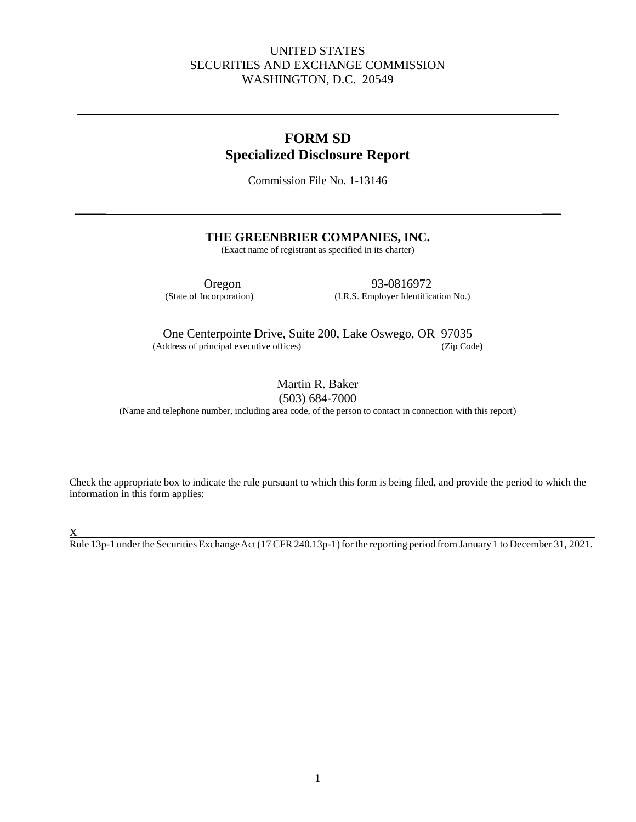# UNITED STATES SECURITIES AND EXCHANGE COMMISSION WASHINGTON, D.C. 20549

# **FORM SD Specialized Disclosure Report**

Commission File No. 1-13146

**\_\_\_\_\_ \_\_\_**

### **THE GREENBRIER COMPANIES, INC.**

(Exact name of registrant as specified in its charter)

Oregon 93-0816972<br>(State of Incorporation) (I.R.S. Employer Identific (I.R.S. Employer Identification No.)

One Centerpointe Drive, Suite 200, Lake Oswego, OR 97035 (Address of principal executive offices) (Zip Code)

> Martin R. Baker (503) 684-7000

(Name and telephone number, including area code, of the person to contact in connection with this report)

Check the appropriate box to indicate the rule pursuant to which this form is being filed, and provide the period to which the information in this form applies:

 $\underline{X}$ 

Rule 13p-1 under the Securities Exchange Act (17 CFR 240.13p-1) for the reporting period from January 1 to December 31, 2021.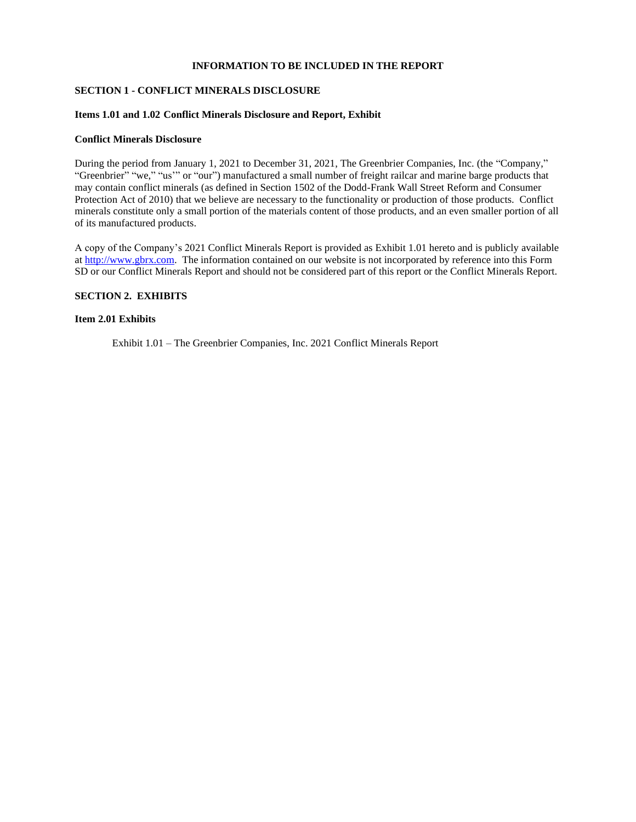#### **INFORMATION TO BE INCLUDED IN THE REPORT**

#### **SECTION 1 - CONFLICT MINERALS DISCLOSURE**

#### **Items 1.01 and 1.02 Conflict Minerals Disclosure and Report, Exhibit**

#### **Conflict Minerals Disclosure**

During the period from January 1, 2021 to December 31, 2021, The Greenbrier Companies, Inc. (the "Company," "Greenbrier" "we," "us'" or "our") manufactured a small number of freight railcar and marine barge products that may contain conflict minerals (as defined in Section 1502 of the Dodd-Frank Wall Street Reform and Consumer Protection Act of 2010) that we believe are necessary to the functionality or production of those products. Conflict minerals constitute only a small portion of the materials content of those products, and an even smaller portion of all of its manufactured products.

A copy of the Company's 2021 Conflict Minerals Report is provided as Exhibit 1.01 hereto and is publicly available a[t http://www.gbrx.com.](http://www.gbrx.com/) The information contained on our website is not incorporated by reference into this Form SD or our Conflict Minerals Report and should not be considered part of this report or the Conflict Minerals Report.

#### **SECTION 2. EXHIBITS**

#### **Item 2.01 Exhibits**

Exhibit 1.01 – The Greenbrier Companies, Inc. 2021 Conflict Minerals Report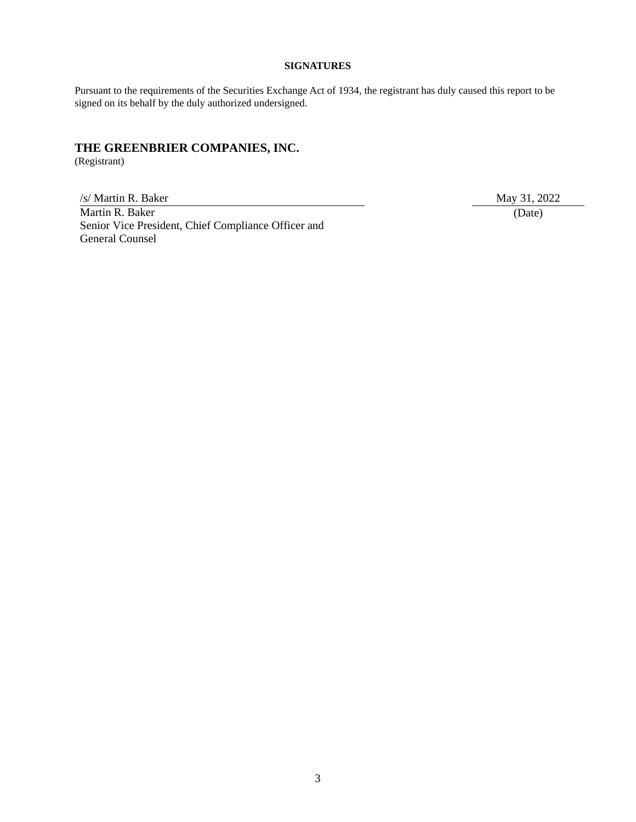#### **SIGNATURES**

Pursuant to the requirements of the Securities Exchange Act of 1934, the registrant has duly caused this report to be signed on its behalf by the duly authorized undersigned.

# **THE GREENBRIER COMPANIES, INC.**

(Registrant)

/s/ Martin R. Baker May 31, 2022 Martin R. Baker Senior Vice President, Chief Compliance Officer and General Counsel

(Date)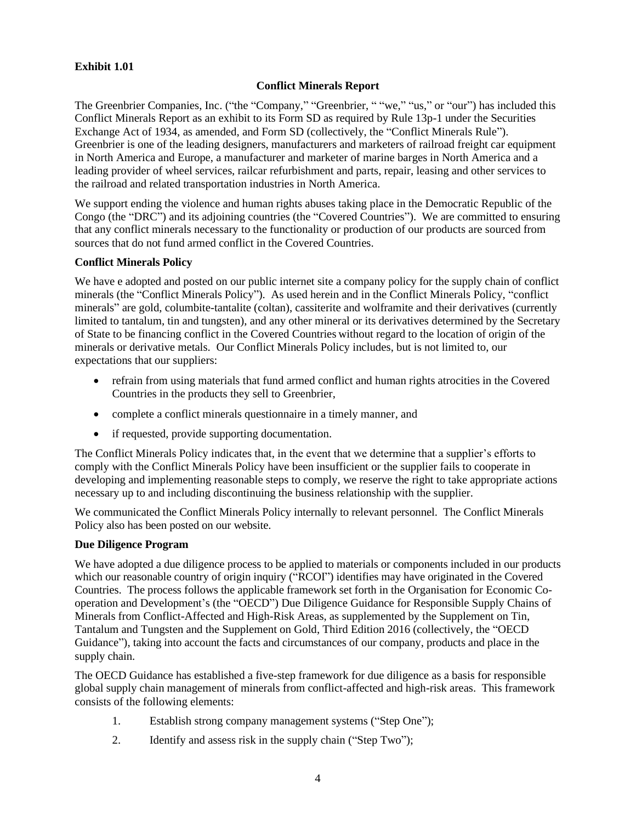# **Exhibit 1.01**

# **Conflict Minerals Report**

The Greenbrier Companies, Inc. ("the "Company," "Greenbrier, " "we," "us," or "our") has included this Conflict Minerals Report as an exhibit to its Form SD as required by Rule 13p-1 under the Securities Exchange Act of 1934, as amended, and Form SD (collectively, the "Conflict Minerals Rule"). Greenbrier is one of the leading designers, manufacturers and marketers of railroad freight car equipment in North America and Europe, a manufacturer and marketer of marine barges in North America and a leading provider of wheel services, railcar refurbishment and parts, repair, leasing and other services to the railroad and related transportation industries in North America.

We support ending the violence and human rights abuses taking place in the Democratic Republic of the Congo (the "DRC") and its adjoining countries (the "Covered Countries"). We are committed to ensuring that any conflict minerals necessary to the functionality or production of our products are sourced from sources that do not fund armed conflict in the Covered Countries.

### **Conflict Minerals Policy**

We have e adopted and posted on our public internet site a company policy for the supply chain of conflict minerals (the "Conflict Minerals Policy"). As used herein and in the Conflict Minerals Policy, "conflict minerals" are gold, columbite-tantalite (coltan), cassiterite and wolframite and their derivatives (currently limited to tantalum, tin and tungsten), and any other mineral or its derivatives determined by the Secretary of State to be financing conflict in the Covered Countries without regard to the location of origin of the minerals or derivative metals. Our Conflict Minerals Policy includes, but is not limited to, our expectations that our suppliers:

- refrain from using materials that fund armed conflict and human rights atrocities in the Covered Countries in the products they sell to Greenbrier,
- complete a conflict minerals questionnaire in a timely manner, and
- if requested, provide supporting documentation.

The Conflict Minerals Policy indicates that, in the event that we determine that a supplier's efforts to comply with the Conflict Minerals Policy have been insufficient or the supplier fails to cooperate in developing and implementing reasonable steps to comply, we reserve the right to take appropriate actions necessary up to and including discontinuing the business relationship with the supplier.

We communicated the Conflict Minerals Policy internally to relevant personnel. The Conflict Minerals Policy also has been posted on our website.

### **Due Diligence Program**

We have adopted a due diligence process to be applied to materials or components included in our products which our reasonable country of origin inquiry ("RCOI") identifies may have originated in the Covered Countries. The process follows the applicable framework set forth in the Organisation for Economic Cooperation and Development's (the "OECD") Due Diligence Guidance for Responsible Supply Chains of Minerals from Conflict-Affected and High-Risk Areas, as supplemented by the Supplement on Tin, Tantalum and Tungsten and the Supplement on Gold, Third Edition 2016 (collectively, the "OECD Guidance"), taking into account the facts and circumstances of our company, products and place in the supply chain.

The OECD Guidance has established a five-step framework for due diligence as a basis for responsible global supply chain management of minerals from conflict-affected and high-risk areas. This framework consists of the following elements:

- 1. Establish strong company management systems ("Step One");
- 2. Identify and assess risk in the supply chain ("Step Two");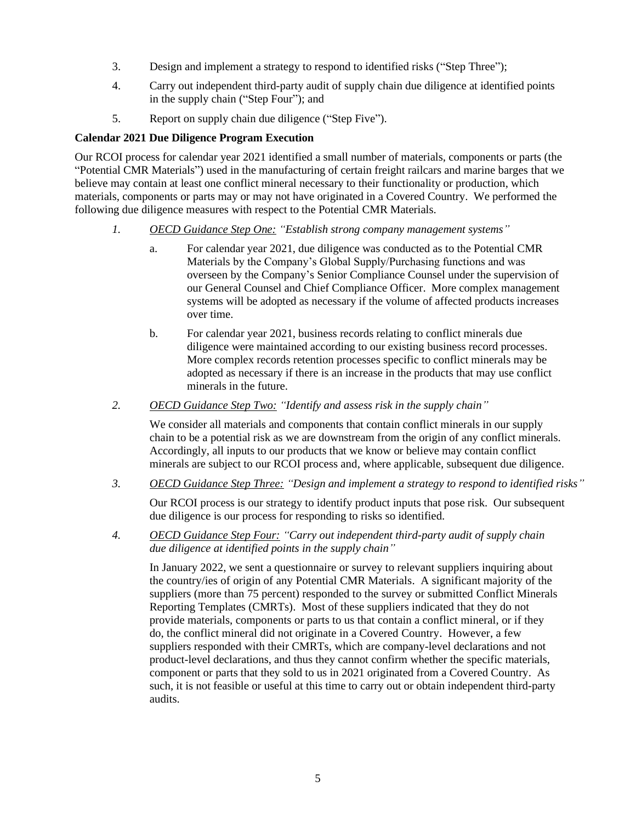- 3. Design and implement a strategy to respond to identified risks ("Step Three");
- 4. Carry out independent third-party audit of supply chain due diligence at identified points in the supply chain ("Step Four"); and
- 5. Report on supply chain due diligence ("Step Five").

### **Calendar 2021 Due Diligence Program Execution**

Our RCOI process for calendar year 2021 identified a small number of materials, components or parts (the "Potential CMR Materials") used in the manufacturing of certain freight railcars and marine barges that we believe may contain at least one conflict mineral necessary to their functionality or production, which materials, components or parts may or may not have originated in a Covered Country. We performed the following due diligence measures with respect to the Potential CMR Materials.

- *1. OECD Guidance Step One: "Establish strong company management systems"*
	- a. For calendar year 2021, due diligence was conducted as to the Potential CMR Materials by the Company's Global Supply/Purchasing functions and was overseen by the Company's Senior Compliance Counsel under the supervision of our General Counsel and Chief Compliance Officer. More complex management systems will be adopted as necessary if the volume of affected products increases over time.
	- b. For calendar year 2021, business records relating to conflict minerals due diligence were maintained according to our existing business record processes. More complex records retention processes specific to conflict minerals may be adopted as necessary if there is an increase in the products that may use conflict minerals in the future.
- *2. OECD Guidance Step Two: "Identify and assess risk in the supply chain"*

We consider all materials and components that contain conflict minerals in our supply chain to be a potential risk as we are downstream from the origin of any conflict minerals. Accordingly, all inputs to our products that we know or believe may contain conflict minerals are subject to our RCOI process and, where applicable, subsequent due diligence.

*3. OECD Guidance Step Three: "Design and implement a strategy to respond to identified risks"*

Our RCOI process is our strategy to identify product inputs that pose risk. Our subsequent due diligence is our process for responding to risks so identified.

*4. OECD Guidance Step Four: "Carry out independent third-party audit of supply chain due diligence at identified points in the supply chain"*

In January 2022, we sent a questionnaire or survey to relevant suppliers inquiring about the country/ies of origin of any Potential CMR Materials. A significant majority of the suppliers (more than 75 percent) responded to the survey or submitted Conflict Minerals Reporting Templates (CMRTs). Most of these suppliers indicated that they do not provide materials, components or parts to us that contain a conflict mineral, or if they do, the conflict mineral did not originate in a Covered Country. However, a few suppliers responded with their CMRTs, which are company-level declarations and not product-level declarations, and thus they cannot confirm whether the specific materials, component or parts that they sold to us in 2021 originated from a Covered Country. As such, it is not feasible or useful at this time to carry out or obtain independent third-party audits.